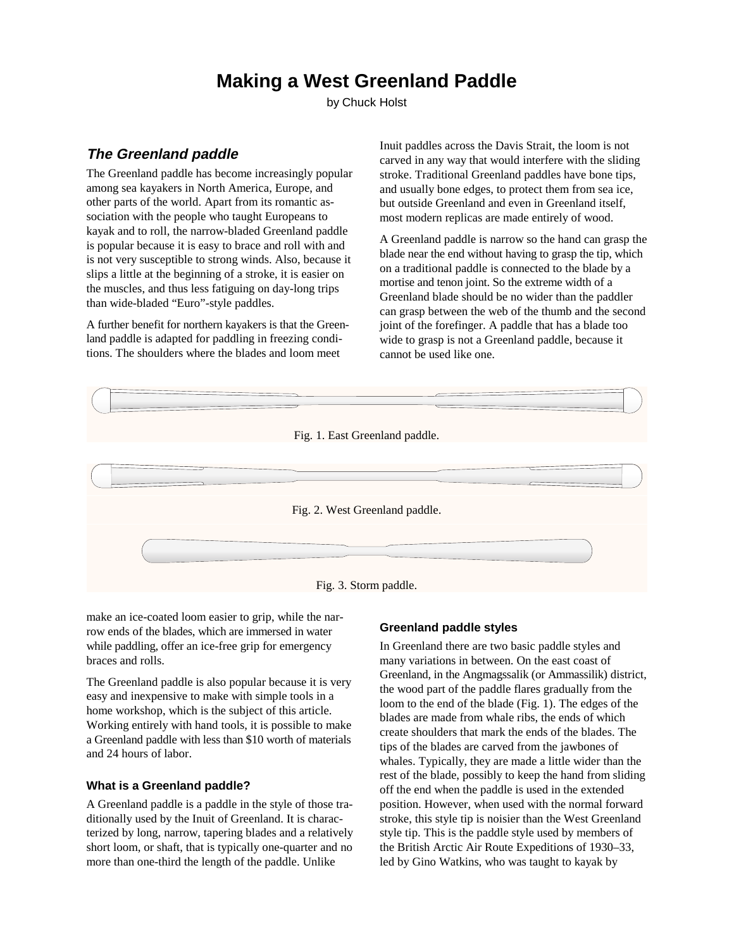# **Making a West Greenland Paddle**

by Chuck Holst

# **The Greenland paddle**

The Greenland paddle has become increasingly popular among sea kayakers in North America, Europe, and other parts of the world. Apart from its romantic association with the people who taught Europeans to kayak and to roll, the narrow-bladed Greenland paddle is popular because it is easy to brace and roll with and is not very susceptible to strong winds. Also, because it slips a little at the beginning of a stroke, it is easier on the muscles, and thus less fatiguing on day-long trips than wide-bladed "Euro"-style paddles.

A further benefit for northern kayakers is that the Greenland paddle is adapted for paddling in freezing conditions. The shoulders where the blades and loom meet

Inuit paddles across the Davis Strait, the loom is not carved in any way that would interfere with the sliding stroke. Traditional Greenland paddles have bone tips, and usually bone edges, to protect them from sea ice, but outside Greenland and even in Greenland itself, most modern replicas are made entirely of wood.

A Greenland paddle is narrow so the hand can grasp the blade near the end without having to grasp the tip, which on a traditional paddle is connected to the blade by a mortise and tenon joint. So the extreme width of a Greenland blade should be no wider than the paddler can grasp between the web of the thumb and the second joint of the forefinger. A paddle that has a blade too wide to grasp is not a Greenland paddle, because it cannot be used like one.



Fig. 3. Storm paddle.

make an ice-coated loom easier to grip, while the narrow ends of the blades, which are immersed in water while paddling, offer an ice-free grip for emergency braces and rolls.

The Greenland paddle is also popular because it is very easy and inexpensive to make with simple tools in a home workshop, which is the subject of this article. Working entirely with hand tools, it is possible to make a Greenland paddle with less than \$10 worth of materials and 24 hours of labor.

#### **What is a Greenland paddle?**

A Greenland paddle is a paddle in the style of those traditionally used by the Inuit of Greenland. It is characterized by long, narrow, tapering blades and a relatively short loom, or shaft, that is typically one-quarter and no more than one-third the length of the paddle. Unlike

#### **Greenland paddle styles**

In Greenland there are two basic paddle styles and many variations in between. On the east coast of Greenland, in the Angmagssalik (or Ammassilik) district, the wood part of the paddle flares gradually from the loom to the end of the blade (Fig. 1). The edges of the blades are made from whale ribs, the ends of which create shoulders that mark the ends of the blades. The tips of the blades are carved from the jawbones of whales. Typically, they are made a little wider than the rest of the blade, possibly to keep the hand from sliding off the end when the paddle is used in the extended position. However, when used with the normal forward stroke, this style tip is noisier than the West Greenland style tip. This is the paddle style used by members of the British Arctic Air Route Expeditions of 1930–33, led by Gino Watkins, who was taught to kayak by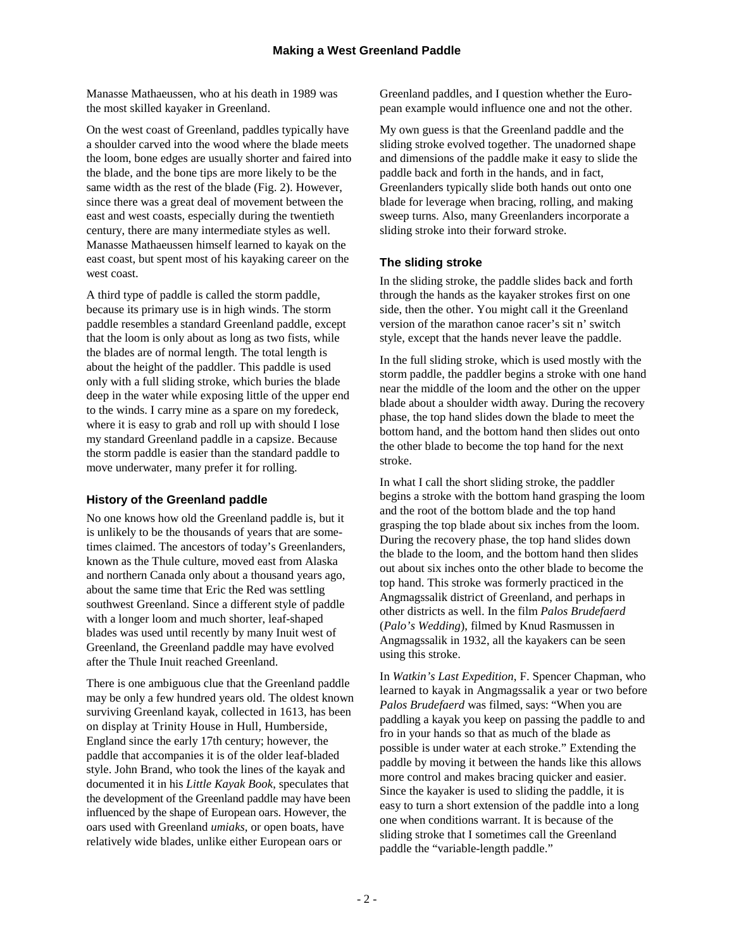Manasse Mathaeussen, who at his death in 1989 was the most skilled kayaker in Greenland.

On the west coast of Greenland, paddles typically have a shoulder carved into the wood where the blade meets the loom, bone edges are usually shorter and faired into the blade, and the bone tips are more likely to be the same width as the rest of the blade (Fig. 2). However, since there was a great deal of movement between the east and west coasts, especially during the twentieth century, there are many intermediate styles as well. Manasse Mathaeussen himself learned to kayak on the east coast, but spent most of his kayaking career on the west coast.

A third type of paddle is called the storm paddle, because its primary use is in high winds. The storm paddle resembles a standard Greenland paddle, except that the loom is only about as long as two fists, while the blades are of normal length. The total length is about the height of the paddler. This paddle is used only with a full sliding stroke, which buries the blade deep in the water while exposing little of the upper end to the winds. I carry mine as a spare on my foredeck, where it is easy to grab and roll up with should I lose my standard Greenland paddle in a capsize. Because the storm paddle is easier than the standard paddle to move underwater, many prefer it for rolling.

# **History of the Greenland paddle**

No one knows how old the Greenland paddle is, but it is unlikely to be the thousands of years that are sometimes claimed. The ancestors of today's Greenlanders, known as the Thule culture, moved east from Alaska and northern Canada only about a thousand years ago, about the same time that Eric the Red was settling southwest Greenland. Since a different style of paddle with a longer loom and much shorter, leaf-shaped blades was used until recently by many Inuit west of Greenland, the Greenland paddle may have evolved after the Thule Inuit reached Greenland.

There is one ambiguous clue that the Greenland paddle may be only a few hundred years old. The oldest known surviving Greenland kayak, collected in 1613, has been on display at Trinity House in Hull, Humberside, England since the early 17th century; however, the paddle that accompanies it is of the older leaf-bladed style. John Brand, who took the lines of the kayak and documented it in his *Little Kayak Book*, speculates that the development of the Greenland paddle may have been influenced by the shape of European oars. However, the oars used with Greenland *umiaks*, or open boats, have relatively wide blades, unlike either European oars or

Greenland paddles, and I question whether the European example would influence one and not the other.

My own guess is that the Greenland paddle and the sliding stroke evolved together. The unadorned shape and dimensions of the paddle make it easy to slide the paddle back and forth in the hands, and in fact, Greenlanders typically slide both hands out onto one blade for leverage when bracing, rolling, and making sweep turns. Also, many Greenlanders incorporate a sliding stroke into their forward stroke.

# **The sliding stroke**

In the sliding stroke, the paddle slides back and forth through the hands as the kayaker strokes first on one side, then the other. You might call it the Greenland version of the marathon canoe racer's sit n' switch style, except that the hands never leave the paddle.

In the full sliding stroke, which is used mostly with the storm paddle, the paddler begins a stroke with one hand near the middle of the loom and the other on the upper blade about a shoulder width away. During the recovery phase, the top hand slides down the blade to meet the bottom hand, and the bottom hand then slides out onto the other blade to become the top hand for the next stroke.

In what I call the short sliding stroke, the paddler begins a stroke with the bottom hand grasping the loom and the root of the bottom blade and the top hand grasping the top blade about six inches from the loom. During the recovery phase, the top hand slides down the blade to the loom, and the bottom hand then slides out about six inches onto the other blade to become the top hand. This stroke was formerly practiced in the Angmagssalik district of Greenland, and perhaps in other districts as well. In the film *Palos Brudefaerd* (*Palo's Wedding*), filmed by Knud Rasmussen in Angmagssalik in 1932, all the kayakers can be seen using this stroke.

In *Watkin's Last Expedition*, F. Spencer Chapman, who learned to kayak in Angmagssalik a year or two before *Palos Brudefaerd* was filmed, says: "When you are paddling a kayak you keep on passing the paddle to and fro in your hands so that as much of the blade as possible is under water at each stroke." Extending the paddle by moving it between the hands like this allows more control and makes bracing quicker and easier. Since the kayaker is used to sliding the paddle, it is easy to turn a short extension of the paddle into a long one when conditions warrant. It is because of the sliding stroke that I sometimes call the Greenland paddle the "variable-length paddle."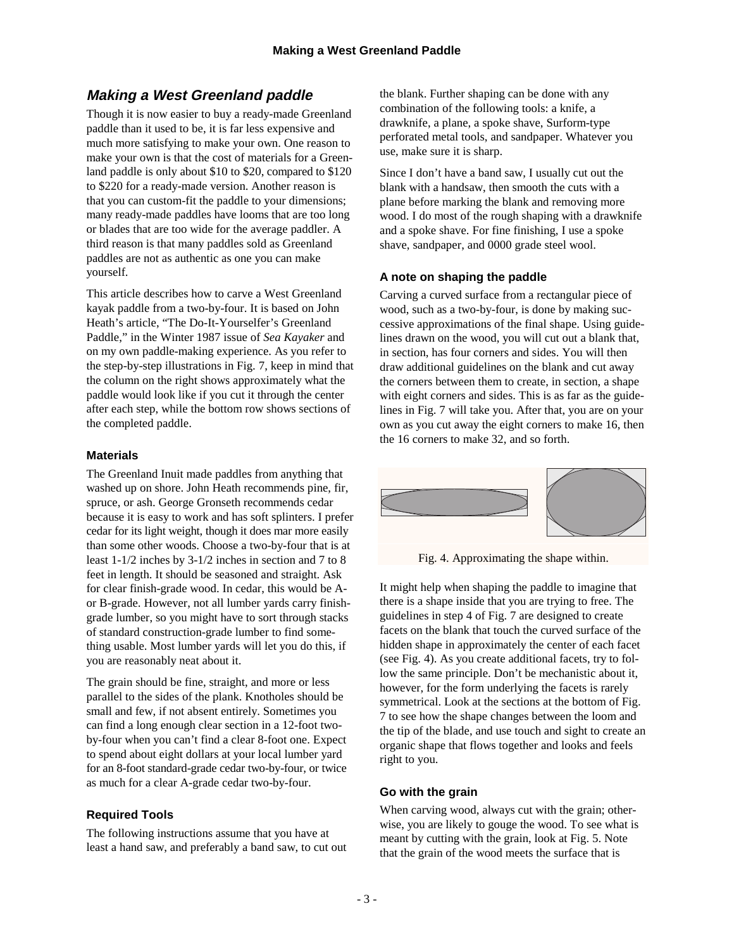# **Making a West Greenland paddle**

Though it is now easier to buy a ready-made Greenland paddle than it used to be, it is far less expensive and much more satisfying to make your own. One reason to make your own is that the cost of materials for a Greenland paddle is only about \$10 to \$20, compared to \$120 to \$220 for a ready-made version. Another reason is that you can custom-fit the paddle to your dimensions; many ready-made paddles have looms that are too long or blades that are too wide for the average paddler. A third reason is that many paddles sold as Greenland paddles are not as authentic as one you can make yourself.

This article describes how to carve a West Greenland kayak paddle from a two-by-four. It is based on John Heath's article, "The Do-It-Yourselfer's Greenland Paddle," in the Winter 1987 issue of *Sea Kayaker* and on my own paddle-making experience. As you refer to the step-by-step illustrations in Fig. 7, keep in mind that the column on the right shows approximately what the paddle would look like if you cut it through the center after each step, while the bottom row shows sections of the completed paddle.

#### **Materials**

The Greenland Inuit made paddles from anything that washed up on shore. John Heath recommends pine, fir, spruce, or ash. George Gronseth recommends cedar because it is easy to work and has soft splinters. I prefer cedar for its light weight, though it does mar more easily than some other woods. Choose a two-by-four that is at least 1-1/2 inches by 3-1/2 inches in section and 7 to 8 feet in length. It should be seasoned and straight. Ask for clear finish-grade wood. In cedar, this would be Aor B-grade. However, not all lumber yards carry finishgrade lumber, so you might have to sort through stacks of standard construction-grade lumber to find something usable. Most lumber yards will let you do this, if you are reasonably neat about it.

The grain should be fine, straight, and more or less parallel to the sides of the plank. Knotholes should be small and few, if not absent entirely. Sometimes you can find a long enough clear section in a 12-foot twoby-four when you can't find a clear 8-foot one. Expect to spend about eight dollars at your local lumber yard for an 8-foot standard-grade cedar two-by-four, or twice as much for a clear A-grade cedar two-by-four.

# **Required Tools**

The following instructions assume that you have at least a hand saw, and preferably a band saw, to cut out the blank. Further shaping can be done with any combination of the following tools: a knife, a drawknife, a plane, a spoke shave, Surform-type perforated metal tools, and sandpaper. Whatever you use, make sure it is sharp.

Since I don't have a band saw, I usually cut out the blank with a handsaw, then smooth the cuts with a plane before marking the blank and removing more wood. I do most of the rough shaping with a drawknife and a spoke shave. For fine finishing, I use a spoke shave, sandpaper, and 0000 grade steel wool.

#### **A note on shaping the paddle**

Carving a curved surface from a rectangular piece of wood, such as a two-by-four, is done by making successive approximations of the final shape. Using guidelines drawn on the wood, you will cut out a blank that, in section, has four corners and sides. You will then draw additional guidelines on the blank and cut away the corners between them to create, in section, a shape with eight corners and sides. This is as far as the guidelines in Fig. 7 will take you. After that, you are on your own as you cut away the eight corners to make 16, then the 16 corners to make 32, and so forth.



Fig. 4. Approximating the shape within.

It might help when shaping the paddle to imagine that there is a shape inside that you are trying to free. The guidelines in step 4 of Fig. 7 are designed to create facets on the blank that touch the curved surface of the hidden shape in approximately the center of each facet (see Fig. 4). As you create additional facets, try to follow the same principle. Don't be mechanistic about it, however, for the form underlying the facets is rarely symmetrical. Look at the sections at the bottom of Fig. 7 to see how the shape changes between the loom and the tip of the blade, and use touch and sight to create an organic shape that flows together and looks and feels right to you.

#### **Go with the grain**

When carving wood, always cut with the grain; otherwise, you are likely to gouge the wood. To see what is meant by cutting with the grain, look at Fig. 5. Note that the grain of the wood meets the surface that is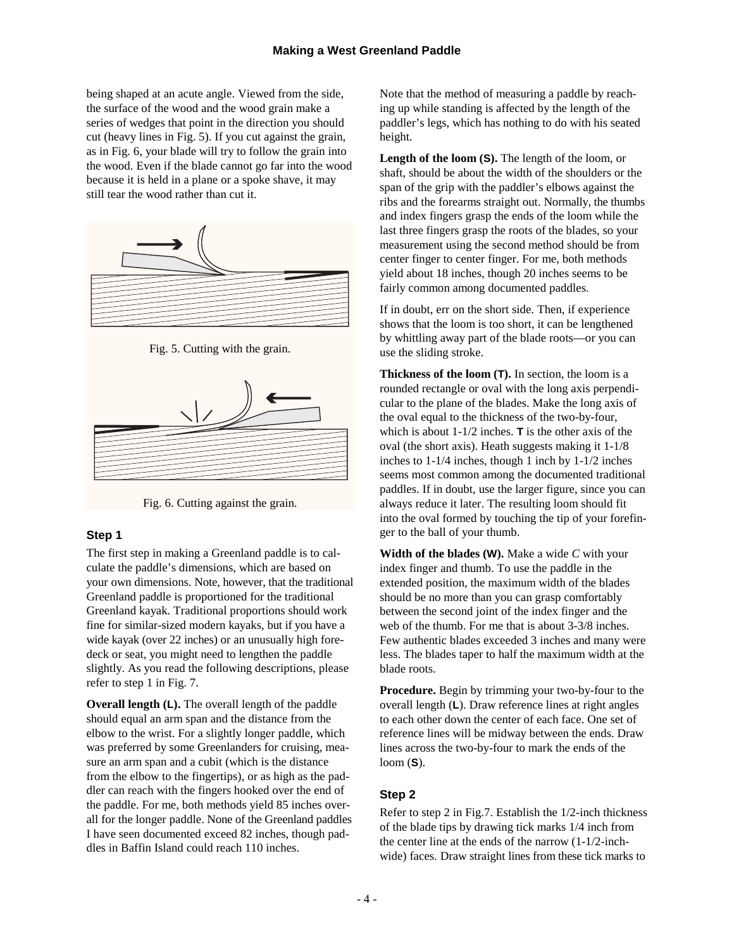being shaped at an acute angle. Viewed from the side, the surface of the wood and the wood grain make a series of wedges that point in the direction you should cut (heavy lines in Fig. 5). If you cut against the grain, as in Fig. 6, your blade will try to follow the grain into the wood. Even if the blade cannot go far into the wood because it is held in a plane or a spoke shave, it may still tear the wood rather than cut it.



Fig. 5. Cutting with the grain.



Fig. 6. Cutting against the grain.

#### **Step 1**

The first step in making a Greenland paddle is to calculate the paddle's dimensions, which are based on your own dimensions. Note, however, that the traditional Greenland paddle is proportioned for the traditional Greenland kayak. Traditional proportions should work fine for similar-sized modern kayaks, but if you have a wide kayak (over 22 inches) or an unusually high foredeck or seat, you might need to lengthen the paddle slightly. As you read the following descriptions, please refer to step 1 in Fig. 7.

**Overall length (L).** The overall length of the paddle should equal an arm span and the distance from the elbow to the wrist. For a slightly longer paddle, which was preferred by some Greenlanders for cruising, measure an arm span and a cubit (which is the distance from the elbow to the fingertips), or as high as the paddler can reach with the fingers hooked over the end of the paddle. For me, both methods yield 85 inches overall for the longer paddle. None of the Greenland paddles I have seen documented exceed 82 inches, though paddles in Baffin Island could reach 110 inches.

Note that the method of measuring a paddle by reaching up while standing is affected by the length of the paddler's legs, which has nothing to do with his seated height.

**Length of the loom (S).** The length of the loom, or shaft, should be about the width of the shoulders or the span of the grip with the paddler's elbows against the ribs and the forearms straight out. Normally, the thumbs and index fingers grasp the ends of the loom while the last three fingers grasp the roots of the blades, so your measurement using the second method should be from center finger to center finger. For me, both methods yield about 18 inches, though 20 inches seems to be fairly common among documented paddles.

If in doubt, err on the short side. Then, if experience shows that the loom is too short, it can be lengthened by whittling away part of the blade roots—or you can use the sliding stroke.

**Thickness of the loom (T).** In section, the loom is a rounded rectangle or oval with the long axis perpendicular to the plane of the blades. Make the long axis of the oval equal to the thickness of the two-by-four, which is about 1-1/2 inches. **T** is the other axis of the oval (the short axis). Heath suggests making it 1-1/8 inches to 1-1/4 inches, though 1 inch by 1-1/2 inches seems most common among the documented traditional paddles. If in doubt, use the larger figure, since you can always reduce it later. The resulting loom should fit into the oval formed by touching the tip of your forefinger to the ball of your thumb.

**Width of the blades (W).** Make a wide *C* with your index finger and thumb. To use the paddle in the extended position, the maximum width of the blades should be no more than you can grasp comfortably between the second joint of the index finger and the web of the thumb. For me that is about 3-3/8 inches. Few authentic blades exceeded 3 inches and many were less. The blades taper to half the maximum width at the blade roots.

**Procedure.** Begin by trimming your two-by-four to the overall length (**L**). Draw reference lines at right angles to each other down the center of each face. One set of reference lines will be midway between the ends. Draw lines across the two-by-four to mark the ends of the loom (**S**).

# **Step 2**

Refer to step 2 in Fig.7. Establish the 1/2-inch thickness of the blade tips by drawing tick marks 1/4 inch from the center line at the ends of the narrow (1-1/2-inchwide) faces. Draw straight lines from these tick marks to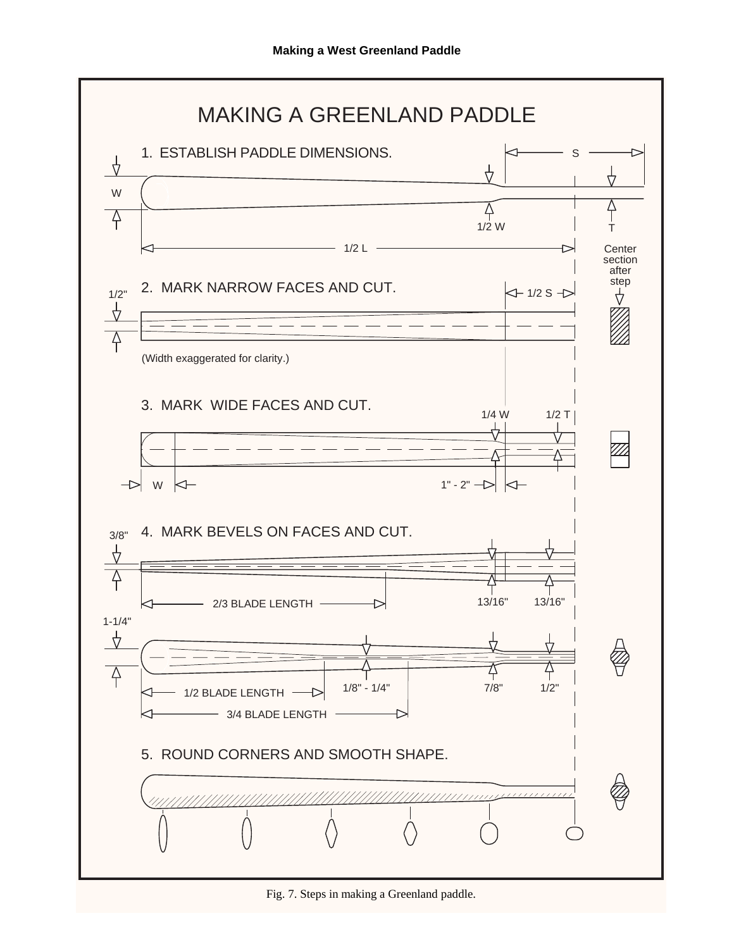

Fig. 7. Steps in making a Greenland paddle.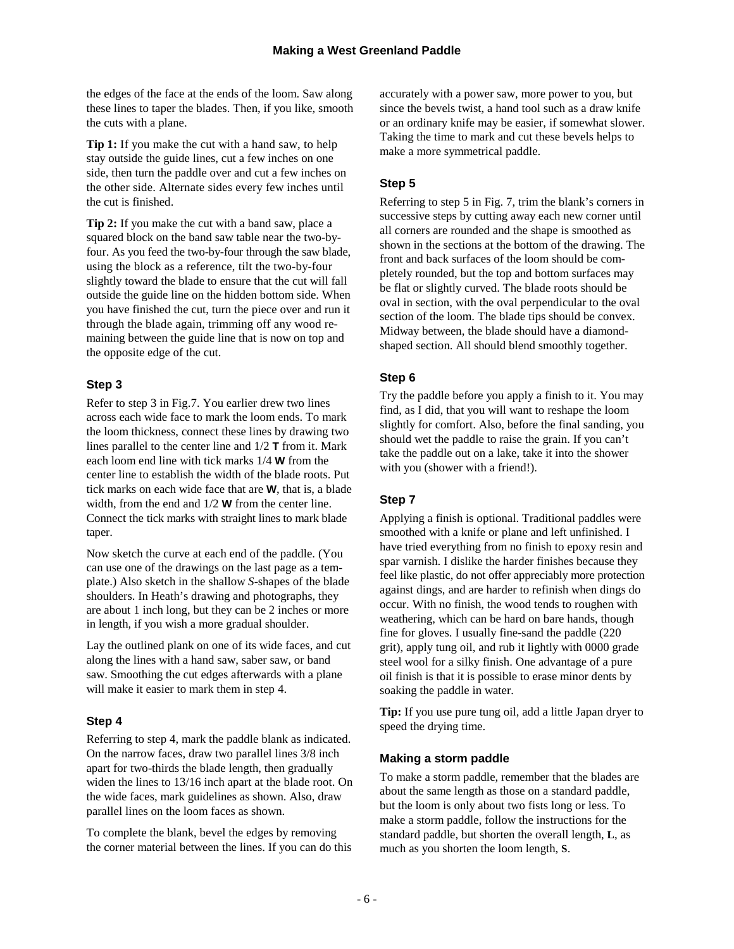the edges of the face at the ends of the loom. Saw along these lines to taper the blades. Then, if you like, smooth the cuts with a plane.

**Tip 1:** If you make the cut with a hand saw, to help stay outside the guide lines, cut a few inches on one side, then turn the paddle over and cut a few inches on the other side. Alternate sides every few inches until the cut is finished.

**Tip 2:** If you make the cut with a band saw, place a squared block on the band saw table near the two-byfour. As you feed the two-by-four through the saw blade, using the block as a reference, tilt the two-by-four slightly toward the blade to ensure that the cut will fall outside the guide line on the hidden bottom side. When you have finished the cut, turn the piece over and run it through the blade again, trimming off any wood remaining between the guide line that is now on top and the opposite edge of the cut.

# **Step 3**

Refer to step 3 in Fig.7. You earlier drew two lines across each wide face to mark the loom ends. To mark the loom thickness, connect these lines by drawing two lines parallel to the center line and 1/2 **T** from it. Mark each loom end line with tick marks 1/4 **W** from the center line to establish the width of the blade roots. Put tick marks on each wide face that are **W**, that is, a blade width, from the end and 1/2 **W** from the center line. Connect the tick marks with straight lines to mark blade taper.

Now sketch the curve at each end of the paddle. (You can use one of the drawings on the last page as a template.) Also sketch in the shallow *S*-shapes of the blade shoulders. In Heath's drawing and photographs, they are about 1 inch long, but they can be 2 inches or more in length, if you wish a more gradual shoulder.

Lay the outlined plank on one of its wide faces, and cut along the lines with a hand saw, saber saw, or band saw. Smoothing the cut edges afterwards with a plane will make it easier to mark them in step 4.

#### **Step 4**

Referring to step 4, mark the paddle blank as indicated. On the narrow faces, draw two parallel lines 3/8 inch apart for two-thirds the blade length, then gradually widen the lines to 13/16 inch apart at the blade root. On the wide faces, mark guidelines as shown. Also, draw parallel lines on the loom faces as shown.

To complete the blank, bevel the edges by removing the corner material between the lines. If you can do this accurately with a power saw, more power to you, but since the bevels twist, a hand tool such as a draw knife or an ordinary knife may be easier, if somewhat slower. Taking the time to mark and cut these bevels helps to make a more symmetrical paddle.

# **Step 5**

Referring to step 5 in Fig. 7, trim the blank's corners in successive steps by cutting away each new corner until all corners are rounded and the shape is smoothed as shown in the sections at the bottom of the drawing. The front and back surfaces of the loom should be completely rounded, but the top and bottom surfaces may be flat or slightly curved. The blade roots should be oval in section, with the oval perpendicular to the oval section of the loom. The blade tips should be convex. Midway between, the blade should have a diamondshaped section. All should blend smoothly together.

#### **Step 6**

Try the paddle before you apply a finish to it. You may find, as I did, that you will want to reshape the loom slightly for comfort. Also, before the final sanding, you should wet the paddle to raise the grain. If you can't take the paddle out on a lake, take it into the shower with you (shower with a friend!).

# **Step 7**

Applying a finish is optional. Traditional paddles were smoothed with a knife or plane and left unfinished. I have tried everything from no finish to epoxy resin and spar varnish. I dislike the harder finishes because they feel like plastic, do not offer appreciably more protection against dings, and are harder to refinish when dings do occur. With no finish, the wood tends to roughen with weathering, which can be hard on bare hands, though fine for gloves. I usually fine-sand the paddle (220 grit), apply tung oil, and rub it lightly with 0000 grade steel wool for a silky finish. One advantage of a pure oil finish is that it is possible to erase minor dents by soaking the paddle in water.

**Tip:** If you use pure tung oil, add a little Japan dryer to speed the drying time.

#### **Making a storm paddle**

To make a storm paddle, remember that the blades are about the same length as those on a standard paddle, but the loom is only about two fists long or less. To make a storm paddle, follow the instructions for the standard paddle, but shorten the overall length, **L**, as much as you shorten the loom length, **S**.